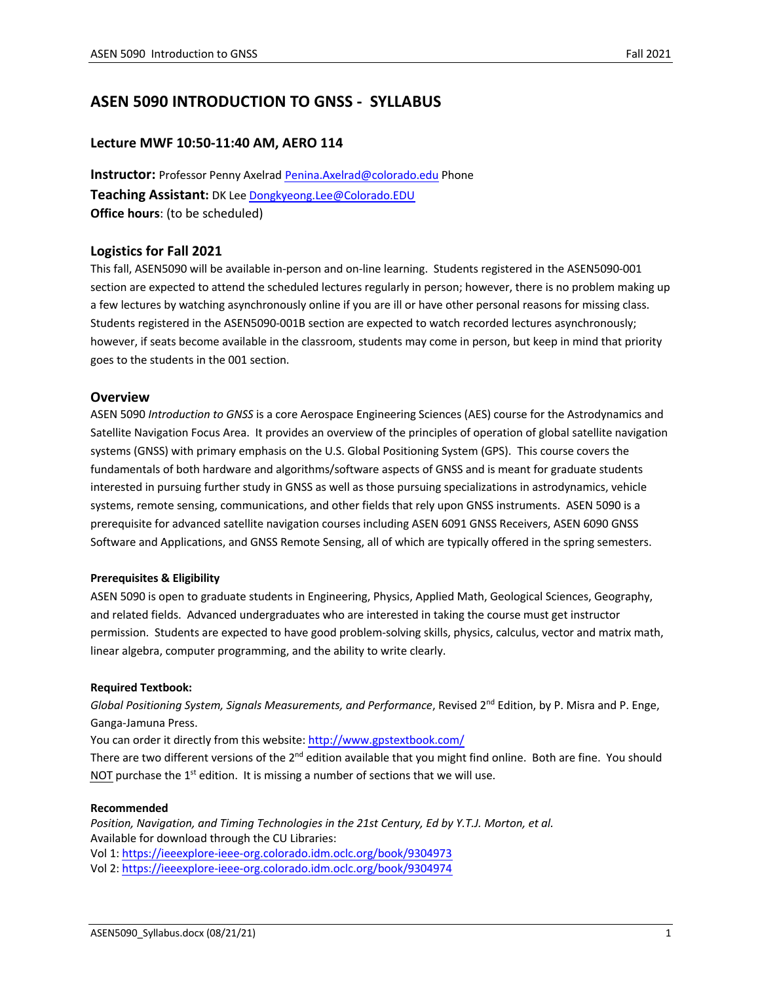# **ASEN 5090 INTRODUCTION TO GNSS - SYLLABUS**

# **Lecture MWF 10:50-11:40 AM, AERO 114**

**Instructor:** Professor Penny Axelrad Penina.Axelrad@colorado.edu Phone **Teaching Assistant:** DK Lee Dongkyeong.Lee@Colorado.EDU **Office hours**: (to be scheduled)

### **Logistics for Fall 2021**

This fall, ASEN5090 will be available in-person and on-line learning. Students registered in the ASEN5090-001 section are expected to attend the scheduled lectures regularly in person; however, there is no problem making up a few lectures by watching asynchronously online if you are ill or have other personal reasons for missing class. Students registered in the ASEN5090-001B section are expected to watch recorded lectures asynchronously; however, if seats become available in the classroom, students may come in person, but keep in mind that priority goes to the students in the 001 section.

#### **Overview**

ASEN 5090 *Introduction to GNSS* is a core Aerospace Engineering Sciences (AES) course for the Astrodynamics and Satellite Navigation Focus Area. It provides an overview of the principles of operation of global satellite navigation systems (GNSS) with primary emphasis on the U.S. Global Positioning System (GPS). This course covers the fundamentals of both hardware and algorithms/software aspects of GNSS and is meant for graduate students interested in pursuing further study in GNSS as well as those pursuing specializations in astrodynamics, vehicle systems, remote sensing, communications, and other fields that rely upon GNSS instruments. ASEN 5090 is a prerequisite for advanced satellite navigation courses including ASEN 6091 GNSS Receivers, ASEN 6090 GNSS Software and Applications, and GNSS Remote Sensing, all of which are typically offered in the spring semesters.

#### **Prerequisites & Eligibility**

ASEN 5090 is open to graduate students in Engineering, Physics, Applied Math, Geological Sciences, Geography, and related fields. Advanced undergraduates who are interested in taking the course must get instructor permission. Students are expected to have good problem-solving skills, physics, calculus, vector and matrix math, linear algebra, computer programming, and the ability to write clearly.

#### **Required Textbook:**

*Global Positioning System, Signals Measurements, and Performance*, Revised 2 nd Edition, by P. Misra and P. Enge, Ganga-Jamuna Press.

You can order it directly from this website: http://www.gpstextbook.com/

There are two different versions of the 2<sup>nd</sup> edition available that you might find online. Both are fine. You should NOT purchase the  $1<sup>st</sup>$  edition. It is missing a number of sections that we will use.

#### **Recommended**

*Position, Navigation, and Timing Technologies in the 21st Century, Ed by Y.T.J. Morton, et al.* Available for download through the CU Libraries: Vol 1: https://ieeexplore-ieee-org.colorado.idm.oclc.org/book/9304973 Vol 2: https://ieeexplore-ieee-org.colorado.idm.oclc.org/book/9304974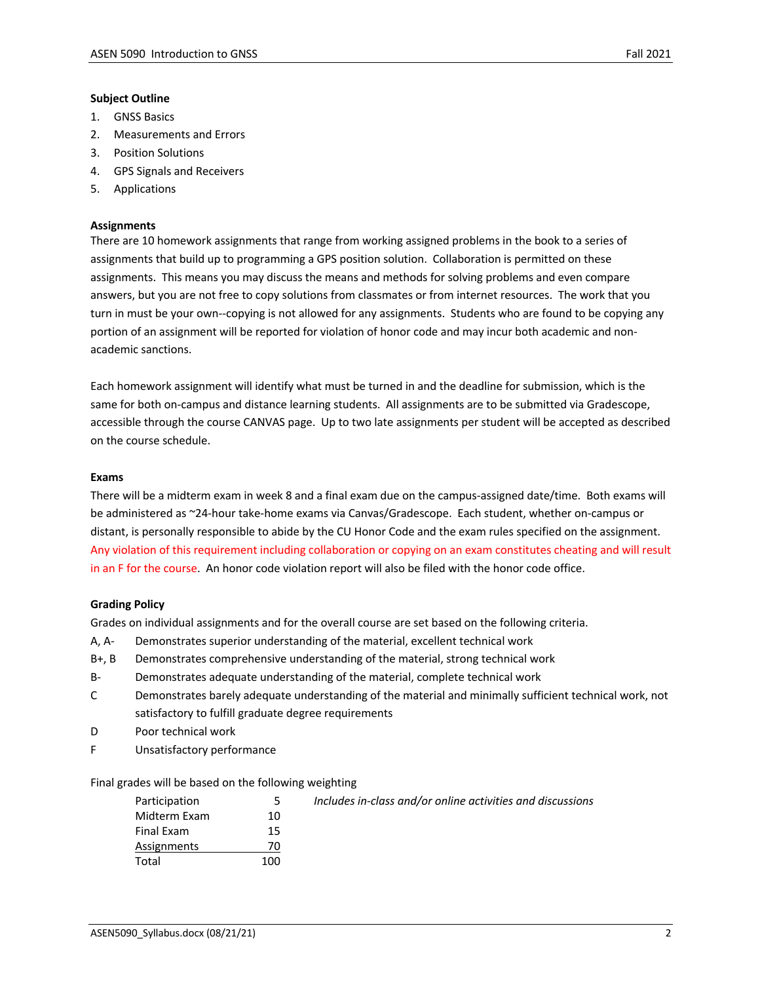#### **Subject Outline**

- 1. GNSS Basics
- 2. Measurements and Errors
- 3. Position Solutions
- 4. GPS Signals and Receivers
- 5. Applications

### **Assignments**

There are 10 homework assignments that range from working assigned problems in the book to a series of assignments that build up to programming a GPS position solution. Collaboration is permitted on these assignments. This means you may discuss the means and methods for solving problems and even compare answers, but you are not free to copy solutions from classmates or from internet resources. The work that you turn in must be your own--copying is not allowed for any assignments. Students who are found to be copying any portion of an assignment will be reported for violation of honor code and may incur both academic and nonacademic sanctions.

Each homework assignment will identify what must be turned in and the deadline for submission, which is the same for both on-campus and distance learning students. All assignments are to be submitted via Gradescope, accessible through the course CANVAS page. Up to two late assignments per student will be accepted as described on the course schedule.

#### **Exams**

There will be a midterm exam in week 8 and a final exam due on the campus-assigned date/time. Both exams will be administered as ~24-hour take-home exams via Canvas/Gradescope. Each student, whether on-campus or distant, is personally responsible to abide by the CU Honor Code and the exam rules specified on the assignment. Any violation of this requirement including collaboration or copying on an exam constitutes cheating and will result in an F for the course. An honor code violation report will also be filed with the honor code office.

### **Grading Policy**

Grades on individual assignments and for the overall course are set based on the following criteria.

- A, A- Demonstrates superior understanding of the material, excellent technical work
- B+, B Demonstrates comprehensive understanding of the material, strong technical work
- B- Demonstrates adequate understanding of the material, complete technical work
- C Demonstrates barely adequate understanding of the material and minimally sufficient technical work, not satisfactory to fulfill graduate degree requirements
- D Poor technical work
- F Unsatisfactory performance

### Final grades will be based on the following weighting

| Participation | 5   | Includes in-class and/or online activities and discussions |
|---------------|-----|------------------------------------------------------------|
| Midterm Exam  | 10  |                                                            |
| Final Exam    | 15  |                                                            |
| Assignments   | 70  |                                                            |
| Total         | 100 |                                                            |
|               |     |                                                            |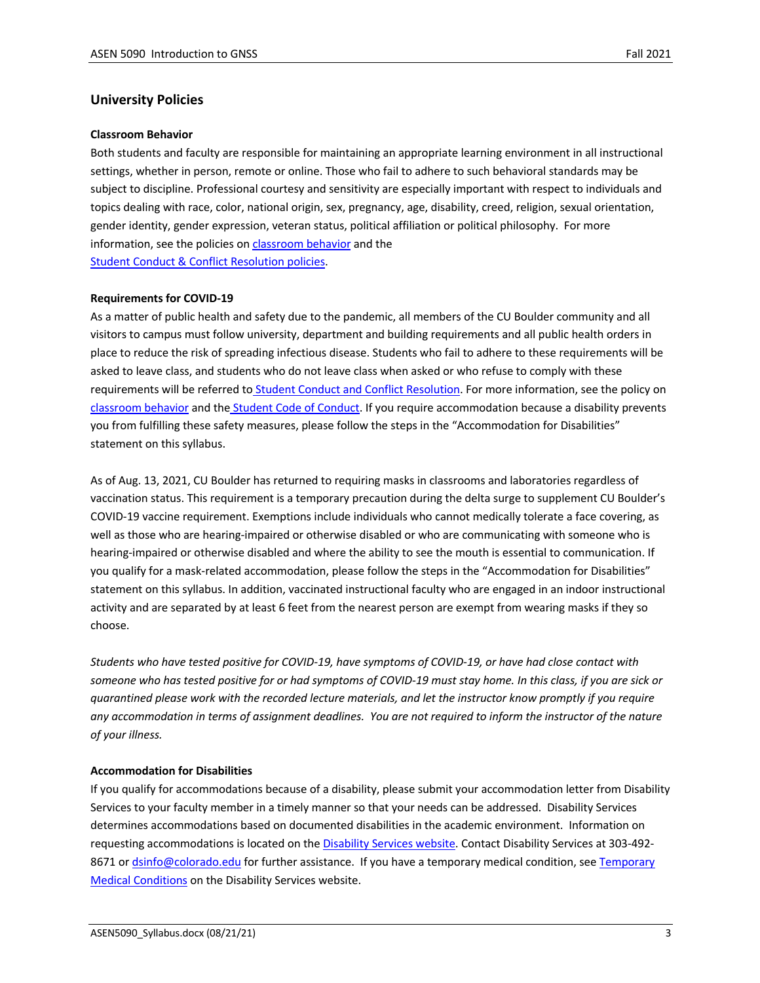## **University Policies**

#### **Classroom Behavior**

Both students and faculty are responsible for maintaining an appropriate learning environment in all instructional settings, whether in person, remote or online. Those who fail to adhere to such behavioral standards may be subject to discipline. Professional courtesy and sensitivity are especially important with respect to individuals and topics dealing with race, color, national origin, sex, pregnancy, age, disability, creed, religion, sexual orientation, gender identity, gender expression, veteran status, political affiliation or political philosophy. For more information, see the policies on classroom behavior and the Student Conduct & Conflict Resolution policies.

**Requirements for COVID-19**

As a matter of public health and safety due to the pandemic, all members of the CU Boulder community and all visitors to campus must follow university, department and building requirements and all public health orders in place to reduce the risk of spreading infectious disease. Students who fail to adhere to these requirements will be asked to leave class, and students who do not leave class when asked or who refuse to comply with these requirements will be referred to Student Conduct and Conflict Resolution. For more information, see the policy on classroom behavior and the Student Code of Conduct. If you require accommodation because a disability prevents you from fulfilling these safety measures, please follow the steps in the "Accommodation for Disabilities" statement on this syllabus.

As of Aug. 13, 2021, CU Boulder has returned to requiring masks in classrooms and laboratories regardless of vaccination status. This requirement is a temporary precaution during the delta surge to supplement CU Boulder's COVID-19 vaccine requirement. Exemptions include individuals who cannot medically tolerate a face covering, as well as those who are hearing-impaired or otherwise disabled or who are communicating with someone who is hearing-impaired or otherwise disabled and where the ability to see the mouth is essential to communication. If you qualify for a mask-related accommodation, please follow the steps in the "Accommodation for Disabilities" statement on this syllabus. In addition, vaccinated instructional faculty who are engaged in an indoor instructional activity and are separated by at least 6 feet from the nearest person are exempt from wearing masks if they so choose.

*Students who have tested positive for COVID-19, have symptoms of COVID-19, or have had close contact with someone who has tested positive for or had symptoms of COVID-19 must stay home. In this class, if you are sick or quarantined please work with the recorded lecture materials, and let the instructor know promptly if you require any accommodation in terms of assignment deadlines. You are not required to inform the instructor of the nature of your illness.*

### **Accommodation for Disabilities**

If you qualify for accommodations because of a disability, please submit your accommodation letter from Disability Services to your faculty member in a timely manner so that your needs can be addressed. Disability Services determines accommodations based on documented disabilities in the academic environment. Information on requesting accommodations is located on the Disability Services website. Contact Disability Services at 303-492- 8671 or dsinfo@colorado.edu for further assistance. If you have a temporary medical condition, see Temporary Medical Conditions on the Disability Services website.